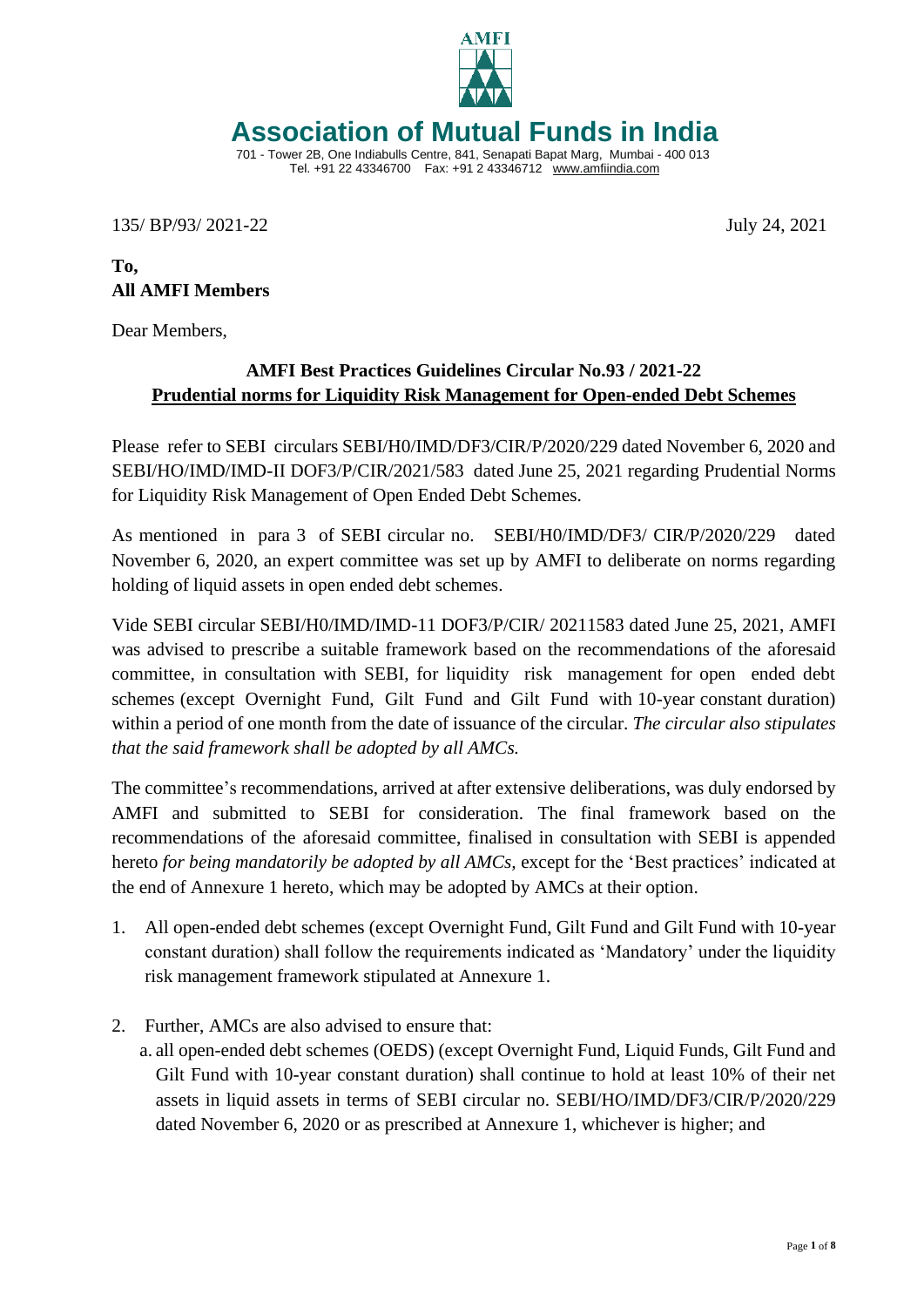

# **Association of Mutual Funds in India**

701 - Tower 2B, One Indiabulls Centre, 841, Senapati Bapat Marg, Mumbai - 400 013 Tel. +91 22 43346700 Fax: +91 2 43346712 [www.amfiindia.com](https://urldefense.proofpoint.com/v2/url?u=http-3A__www.amfiindia.com&d=DQMFAg&c=4JOzdpIlQcN5fHQL_PMhCQ&r=aOfLa9U7LAg9iUGfxtun8oV4n5DuNRYLvaHhJJAazVs&m=gCuz_sLOzFsQ7Wvnu5pYAEBnbYKbeoFlor4SOkpN0ww&s=SN0Kxn0flExNTOsZguOgOgso2fkHyx3mOAhYxqV_pos&e=)

135/ BP/93/ 2021-22 July 24, 2021

**To, All AMFI Members**

Dear Members,

# **AMFI Best Practices Guidelines Circular No.93 / 2021-22 Prudential norms for Liquidity Risk Management for Open-ended Debt Schemes**

Please refer to SEBI circulars SEBI/H0/IMD/DF3/CIR/P/2020/229 dated November 6, 2020 and SEBI/HO/IMD/IMD-II DOF3/P/CIR/2021/583 dated June 25, 2021 regarding Prudential Norms for Liquidity Risk Management of Open Ended Debt Schemes.

As mentioned in para 3 of SEBI circular no. SEBI/H0/IMD/DF3/ CIR/P/2020/229 dated November 6, 2020, an expert committee was set up by AMFI to deliberate on norms regarding holding of liquid assets in open ended debt schemes.

Vide SEBI circular SEBI/H0/IMD/IMD-11 DOF3/P/CIR/ 20211583 dated June 25, 2021, AMFI was advised to prescribe a suitable framework based on the recommendations of the aforesaid committee, in consultation with SEBI, for liquidity risk management for open ended debt schemes (except Overnight Fund, Gilt Fund and Gilt Fund with 10-year constant duration) within a period of one month from the date of issuance of the circular. *The circular also stipulates that the said framework shall be adopted by all AMCs.*

The committee's recommendations, arrived at after extensive deliberations, was duly endorsed by AMFI and submitted to SEBI for consideration. The final framework based on the recommendations of the aforesaid committee, finalised in consultation with SEBI is appended hereto *for being mandatorily be adopted by all AMCs,* except for the 'Best practices' indicated at the end of Annexure 1 hereto, which may be adopted by AMCs at their option.

- 1. All open-ended debt schemes (except Overnight Fund, Gilt Fund and Gilt Fund with 10-year constant duration) shall follow the requirements indicated as 'Mandatory' under the liquidity risk management framework stipulated at Annexure 1.
- 2. Further, AMCs are also advised to ensure that:
	- a. all open-ended debt schemes (OEDS) (except Overnight Fund, Liquid Funds, Gilt Fund and Gilt Fund with 10-year constant duration) shall continue to hold at least 10% of their net assets in liquid assets in terms of SEBI circular no. SEBI/HO/IMD/DF3/CIR/P/2020/229 dated November 6, 2020 or as prescribed at Annexure 1, whichever is higher; and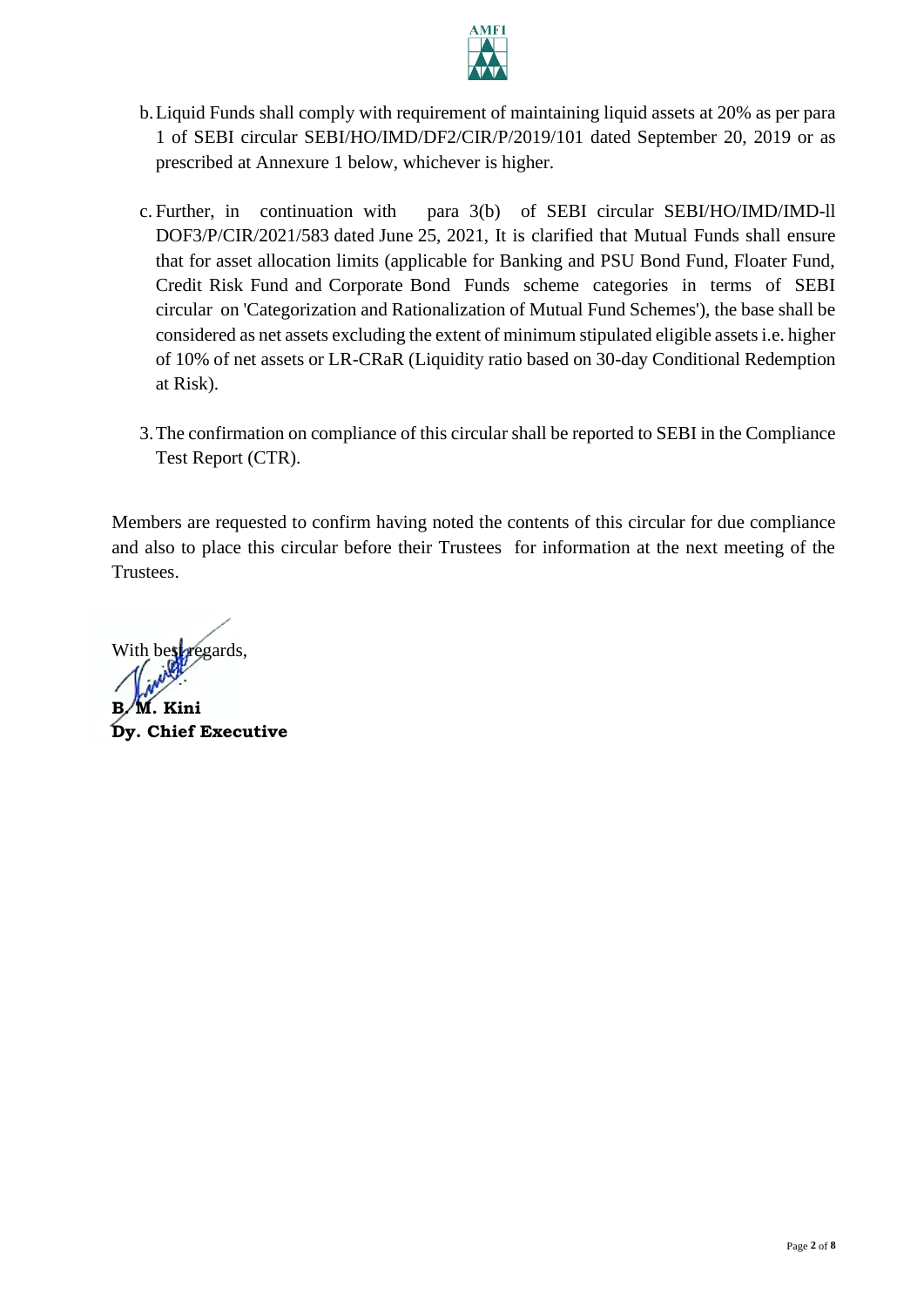

- b.Liquid Funds shall comply with requirement of maintaining liquid assets at 20% as per para 1 of SEBI circular SEBI/HO/IMD/DF2/CIR/P/2019/101 dated September 20, 2019 or as prescribed at Annexure 1 below, whichever is higher.
- c. Further, in continuation with para 3(b) of SEBI circular SEBI/HO/IMD/IMD-ll DOF3/P/CIR/2021/583 dated June 25, 2021, It is clarified that Mutual Funds shall ensure that for asset allocation limits (applicable for Banking and PSU Bond Fund, Floater Fund, Credit Risk Fund and Corporate Bond Funds scheme categories in terms of SEBI circular on 'Categorization and Rationalization of Mutual Fund Schemes'), the base shall be considered as net assets excluding the extent of minimum stipulated eligible assets i.e. higher of 10% of net assets or LR-CRaR (Liquidity ratio based on 30-day Conditional Redemption at Risk).
- 3.The confirmation on compliance of this circular shall be reported to SEBI in the Compliance Test Report (CTR).

Members are requested to confirm having noted the contents of this circular for due compliance and also to place this circular before their Trustees for information at the next meeting of the Trustees.

With best regards. **B. M. Kini**

**Dy. Chief Executive**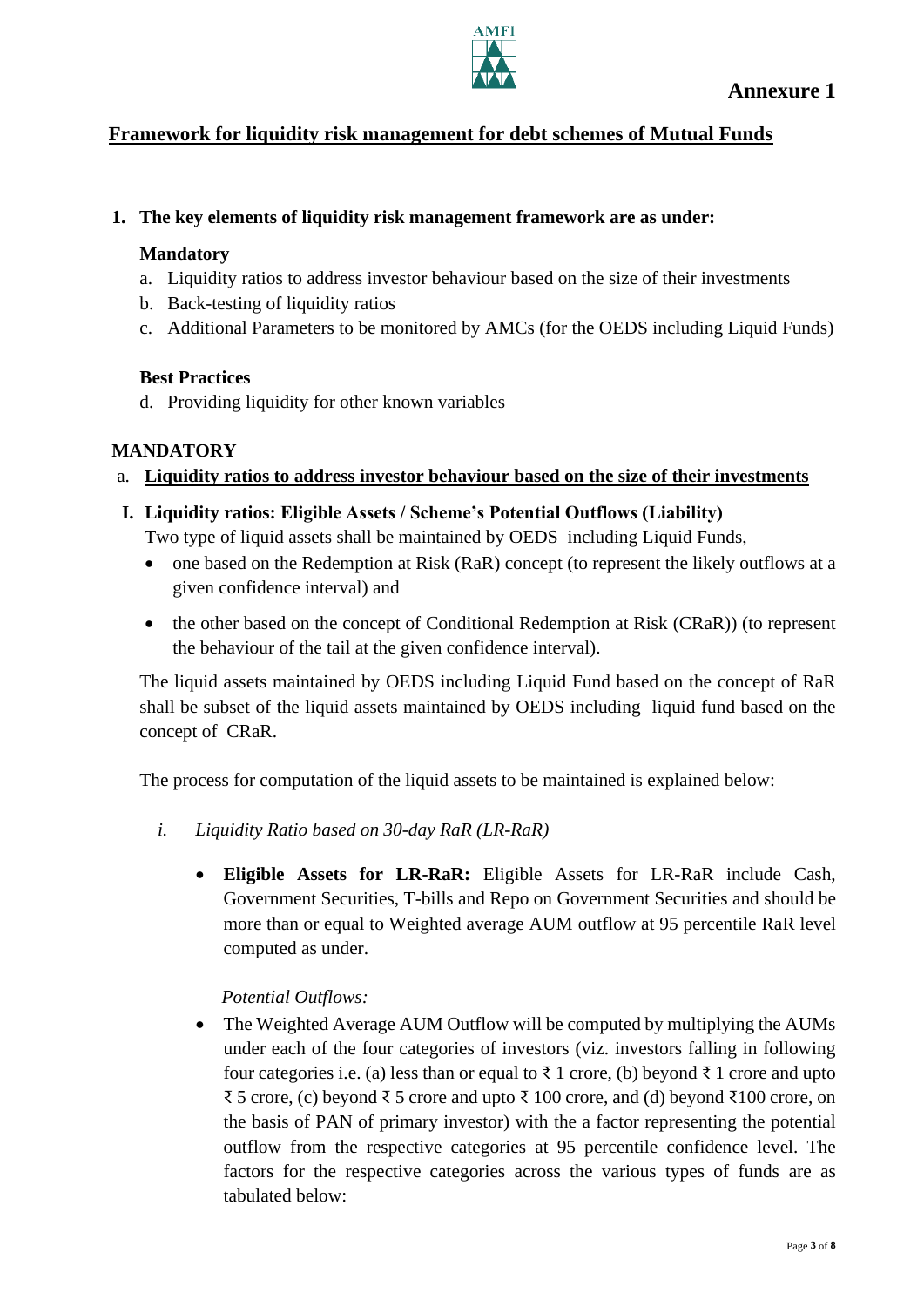

# **Framework for liquidity risk management for debt schemes of Mutual Funds**

### **1. The key elements of liquidity risk management framework are as under:**

#### **Mandatory**

- a. Liquidity ratios to address investor behaviour based on the size of their investments
- b. Back-testing of liquidity ratios
- c. Additional Parameters to be monitored by AMCs (for the OEDS including Liquid Funds)

#### **Best Practices**

d. Providing liquidity for other known variables

### **MANDATORY**

#### a. **Liquidity ratios to address investor behaviour based on the size of their investments**

**I. Liquidity ratios: Eligible Assets / Scheme's Potential Outflows (Liability)**

Two type of liquid assets shall be maintained by OEDS including Liquid Funds,

- one based on the Redemption at Risk (RaR) concept (to represent the likely outflows at a given confidence interval) and
- the other based on the concept of Conditional Redemption at Risk (CRaR)) (to represent the behaviour of the tail at the given confidence interval).

The liquid assets maintained by OEDS including Liquid Fund based on the concept of RaR shall be subset of the liquid assets maintained by OEDS including liquid fund based on the concept of CRaR.

The process for computation of the liquid assets to be maintained is explained below:

- *i. Liquidity Ratio based on 30-day RaR (LR-RaR)*
	- **Eligible Assets for LR-RaR:** Eligible Assets for LR-RaR include Cash, Government Securities, T-bills and Repo on Government Securities and should be more than or equal to Weighted average AUM outflow at 95 percentile RaR level computed as under.

### *Potential Outflows:*

• The Weighted Average AUM Outflow will be computed by multiplying the AUMs under each of the four categories of investors (viz. investors falling in following four categories i.e. (a) less than or equal to ₹ 1 crore, (b) beyond ₹ 1 crore and upto  $\bar{\xi}$  5 crore, (c) beyond  $\bar{\xi}$  5 crore and upto  $\bar{\xi}$  100 crore, and (d) beyond  $\bar{\xi}$ 100 crore, on the basis of PAN of primary investor) with the a factor representing the potential outflow from the respective categories at 95 percentile confidence level. The factors for the respective categories across the various types of funds are as tabulated below: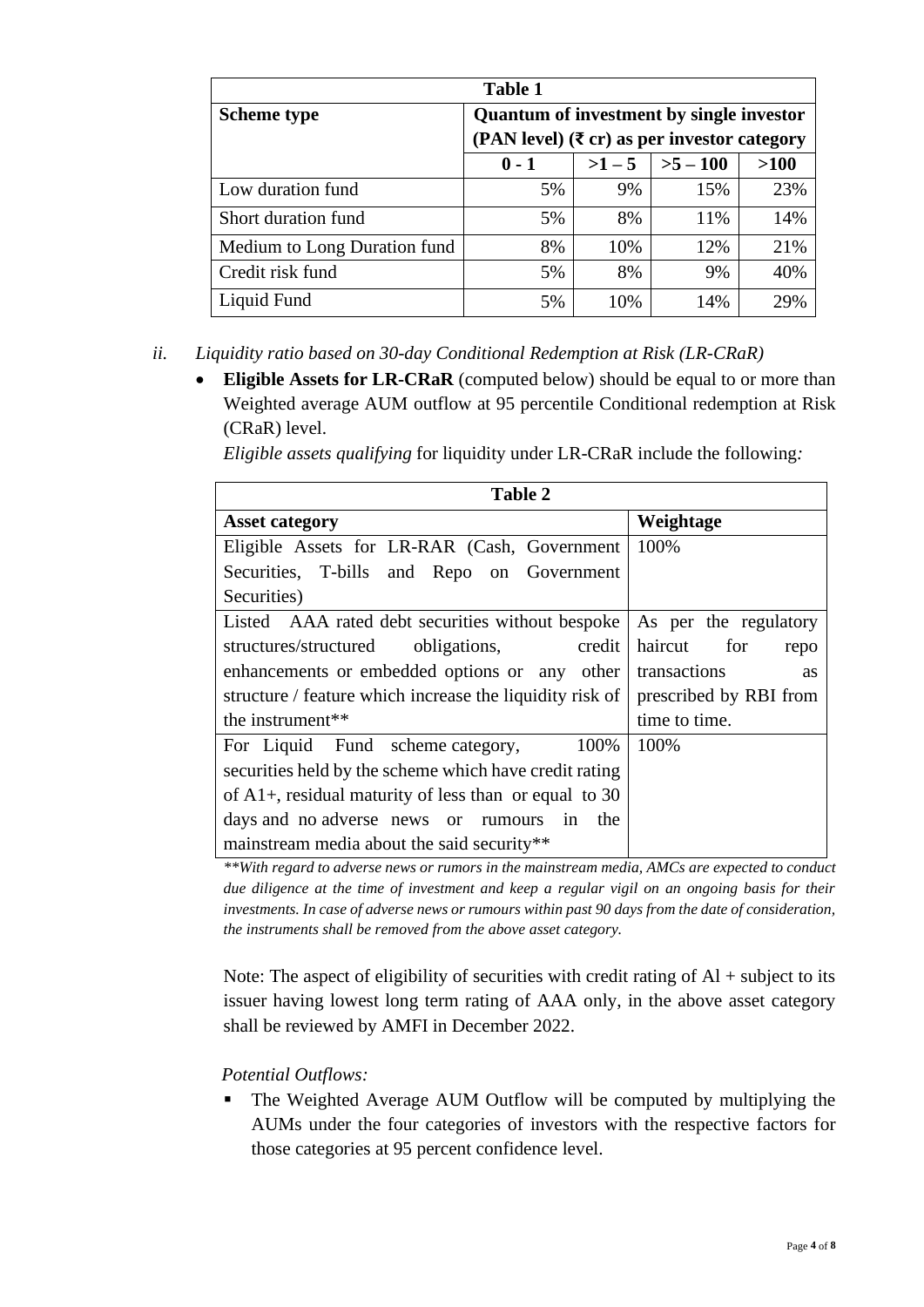| <b>Table 1</b>               |                                                        |        |               |        |  |  |
|------------------------------|--------------------------------------------------------|--------|---------------|--------|--|--|
| <b>Scheme type</b>           | <b>Quantum of investment by single investor</b>        |        |               |        |  |  |
|                              | (PAN level) $(\bar{\tau}$ cr) as per investor category |        |               |        |  |  |
|                              | $0 - 1$                                                | $>1-5$ | $  > 5 - 100$ | $>100$ |  |  |
| Low duration fund            | 5%                                                     | 9%     | 15%           | 23%    |  |  |
| Short duration fund          | 5%                                                     | 8%     | 11%           | 14%    |  |  |
| Medium to Long Duration fund | 8%                                                     | 10%    | 12%           | 21%    |  |  |
| Credit risk fund             | 5%                                                     | 8%     | 9%            | 40%    |  |  |
| Liquid Fund                  | 5%                                                     | 10%    | 14%           | 29%    |  |  |

- *ii. Liquidity ratio based on 30-day Conditional Redemption at Risk (LR-CRaR)*
	- **Eligible Assets for LR-CRaR** (computed below) should be equal to or more than Weighted average AUM outflow at 95 percentile Conditional redemption at Risk (CRaR) level.

*Eligible assets qualifying* for liquidity under LR-CRaR include the following*:*

| Table 2                                                  |                           |  |  |
|----------------------------------------------------------|---------------------------|--|--|
| <b>Asset category</b>                                    | Weightage                 |  |  |
| Eligible Assets for LR-RAR (Cash, Government             | 100%                      |  |  |
| Securities, T-bills and Repo on Government               |                           |  |  |
| Securities)                                              |                           |  |  |
| Listed AAA rated debt securities without bespoke         | As per the regulatory     |  |  |
| structures/structured<br>obligations,<br>credit          | haircut for<br>repo       |  |  |
| enhancements or embedded options or any other            | transactions<br><b>as</b> |  |  |
| structure / feature which increase the liquidity risk of | prescribed by RBI from    |  |  |
| the instrument**                                         | time to time.             |  |  |
| For Liquid Fund scheme category,<br>100%                 | 100%                      |  |  |
| securities held by the scheme which have credit rating   |                           |  |  |
| of $A1+$ , residual maturity of less than or equal to 30 |                           |  |  |
| days and no adverse news or rumours<br>the<br>in         |                           |  |  |
| mainstream media about the said security**               |                           |  |  |

*\*\*With regard to adverse news or rumors in the mainstream media, AMCs are expected to conduct due diligence at the time of investment and keep a regular vigil on an ongoing basis for their investments. In case of adverse news or rumours within past 90 days from the date of consideration, the instruments shall be removed from the above asset category.*

Note: The aspect of eligibility of securities with credit rating of  $Al +$  subject to its issuer having lowest long term rating of AAA only, in the above asset category shall be reviewed by AMFI in December 2022.

## *Potential Outflows:*

■ The Weighted Average AUM Outflow will be computed by multiplying the AUMs under the four categories of investors with the respective factors for those categories at 95 percent confidence level.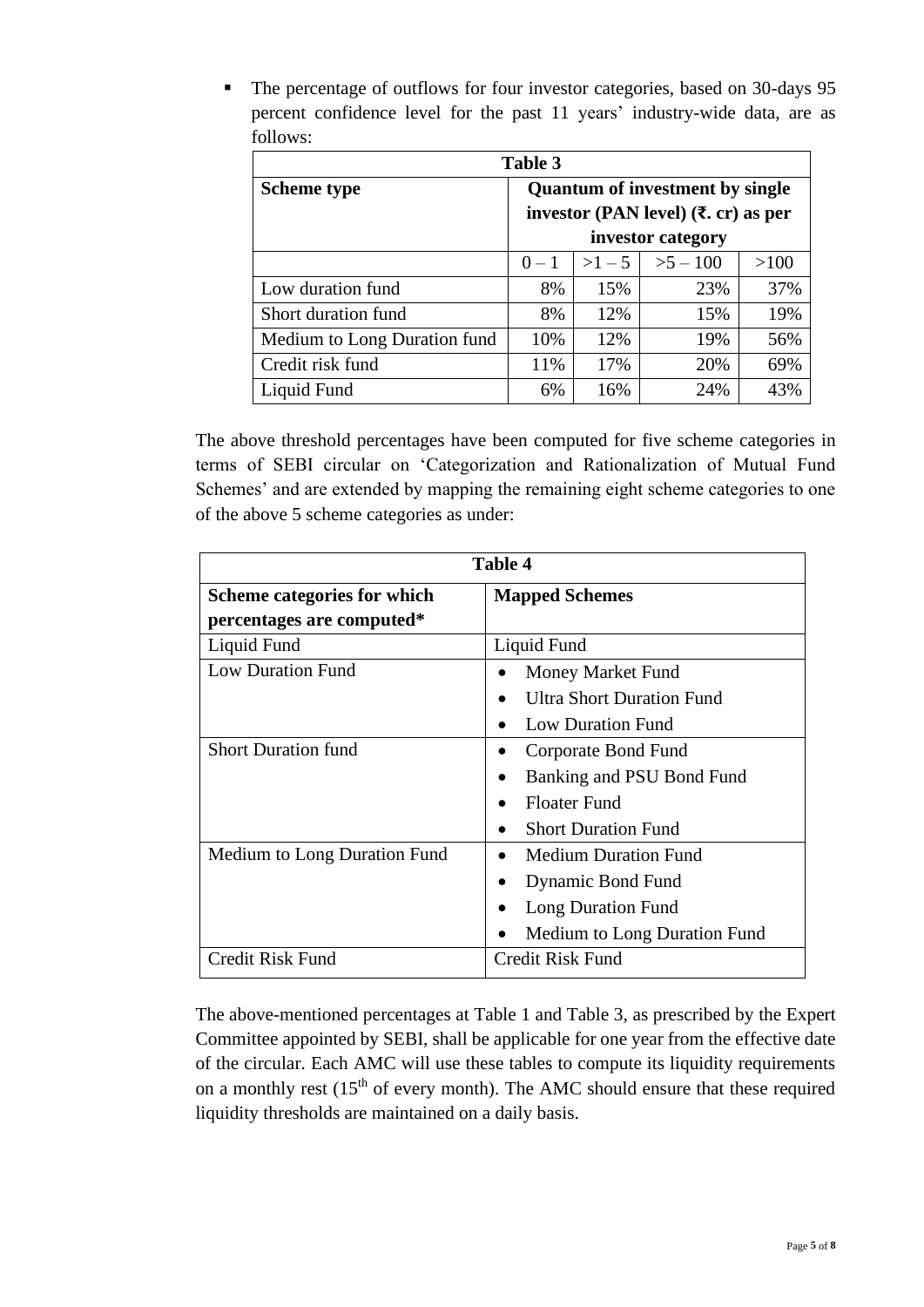| Table 3                      |                                                                                                                                   |        |          |      |  |
|------------------------------|-----------------------------------------------------------------------------------------------------------------------------------|--------|----------|------|--|
| Scheme type                  | <b>Quantum of investment by single</b><br>investor (PAN level) $(\bar{\mathbf{z}}, \bar{\mathbf{c}})$ as per<br>investor category |        |          |      |  |
|                              | $0 - 1$                                                                                                                           | $>1-5$ | $>5-100$ | >100 |  |
| Low duration fund            | 8%                                                                                                                                | 15%    | 23%      | 37%  |  |
| Short duration fund          | 8%                                                                                                                                | 12%    | 15%      | 19%  |  |
| Medium to Long Duration fund | 10%                                                                                                                               | 12%    | 19%      | 56%  |  |
| Credit risk fund             | 11%                                                                                                                               | 17%    | 20%      | 69%  |  |
| Liquid Fund                  | 6%                                                                                                                                | 16%    | 24%      | 43%  |  |

The percentage of outflows for four investor categories, based on 30-days 95 percent confidence level for the past 11 years' industry-wide data, are as follows:

The above threshold percentages have been computed for five scheme categories in terms of SEBI circular on 'Categorization and Rationalization of Mutual Fund Schemes' and are extended by mapping the remaining eight scheme categories to one of the above 5 scheme categories as under:

| Table 4                      |                                  |  |  |  |
|------------------------------|----------------------------------|--|--|--|
| Scheme categories for which  | <b>Mapped Schemes</b>            |  |  |  |
| percentages are computed*    |                                  |  |  |  |
| Liquid Fund                  | Liquid Fund                      |  |  |  |
| <b>Low Duration Fund</b>     | Money Market Fund                |  |  |  |
|                              | <b>Ultra Short Duration Fund</b> |  |  |  |
|                              | <b>Low Duration Fund</b>         |  |  |  |
| <b>Short Duration fund</b>   | Corporate Bond Fund              |  |  |  |
|                              | Banking and PSU Bond Fund        |  |  |  |
|                              | <b>Floater Fund</b>              |  |  |  |
|                              | <b>Short Duration Fund</b>       |  |  |  |
| Medium to Long Duration Fund | <b>Medium Duration Fund</b>      |  |  |  |
|                              | Dynamic Bond Fund                |  |  |  |
|                              | Long Duration Fund               |  |  |  |
|                              | Medium to Long Duration Fund     |  |  |  |
| Credit Risk Fund             | Credit Risk Fund                 |  |  |  |

The above-mentioned percentages at Table 1 and Table 3, as prescribed by the Expert Committee appointed by SEBI, shall be applicable for one year from the effective date of the circular. Each AMC will use these tables to compute its liquidity requirements on a monthly rest  $(15<sup>th</sup>$  of every month). The AMC should ensure that these required liquidity thresholds are maintained on a daily basis.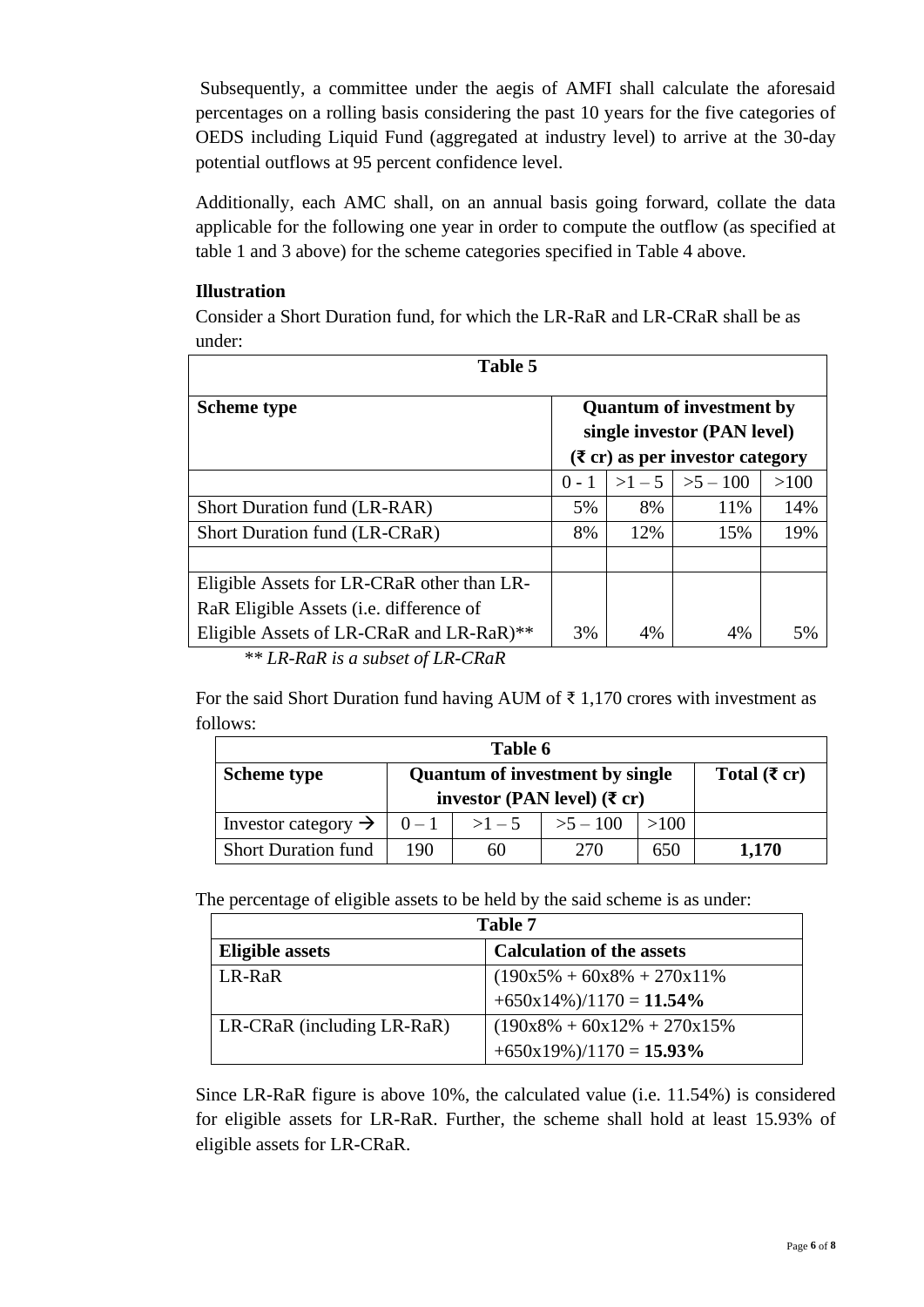Subsequently, a committee under the aegis of AMFI shall calculate the aforesaid percentages on a rolling basis considering the past 10 years for the five categories of OEDS including Liquid Fund (aggregated at industry level) to arrive at the 30-day potential outflows at 95 percent confidence level.

Additionally, each AMC shall, on an annual basis going forward, collate the data applicable for the following one year in order to compute the outflow (as specified at table 1 and 3 above) for the scheme categories specified in Table 4 above.

## **Illustration**

Consider a Short Duration fund, for which the LR-RaR and LR-CRaR shall be as under:

| Table 5                                    |                                                                |     |                                                                  |      |  |
|--------------------------------------------|----------------------------------------------------------------|-----|------------------------------------------------------------------|------|--|
| <b>Scheme type</b>                         | <b>Quantum of investment by</b><br>single investor (PAN level) |     |                                                                  |      |  |
|                                            |                                                                |     | $(\bar{\mathbf{\mathsf{z}}})$ crategory as per investor category |      |  |
|                                            | $0 - 1$                                                        |     | $>1-5$   $>5-100$                                                | >100 |  |
| <b>Short Duration fund (LR-RAR)</b>        | 5%                                                             | 8%  | 11%                                                              | 14%  |  |
| <b>Short Duration fund (LR-CRaR)</b>       | 8%                                                             | 12% | 15%                                                              | 19%  |  |
|                                            |                                                                |     |                                                                  |      |  |
| Eligible Assets for LR-CRaR other than LR- |                                                                |     |                                                                  |      |  |
| RaR Eligible Assets (i.e. difference of    |                                                                |     |                                                                  |      |  |
| Eligible Assets of LR-CRaR and LR-RaR)**   | 3%                                                             | 4%  | 4%                                                               | 5%   |  |

*\*\* LR-RaR is a subset of LR-CRaR*

For the said Short Duration fund having AUM of  $\bar{\tau}$  1,170 crores with investment as follows:

| Table 6                         |                                        |                                        |          |      |                               |
|---------------------------------|----------------------------------------|----------------------------------------|----------|------|-------------------------------|
| <b>Scheme type</b>              |                                        | <b>Quantum of investment by single</b> |          |      | Total $(\mathbf{\bar{z}})$ cr |
|                                 | investor (PAN level) $(\bar{\tau}$ cr) |                                        |          |      |                               |
| Investor category $\rightarrow$ | $0 - 1$                                | $>1-5$                                 | $>5-100$ | >100 |                               |
| <b>Short Duration fund</b>      | 190                                    | 60                                     | 270      | 650  | 1,170                         |

The percentage of eligible assets to be held by the said scheme is as under:

| Table 7                    |                                  |  |  |
|----------------------------|----------------------------------|--|--|
| Eligible assets            | <b>Calculation of the assets</b> |  |  |
| LR-RaR                     | $(190x5\% + 60x8\% + 270x11\%)$  |  |  |
|                            | $+650x14\%)/1170 = 11.54\%$      |  |  |
| LR-CRaR (including LR-RaR) | $(190x8\% + 60x12\% + 270x15\%)$ |  |  |
|                            | $+650x19\%)/1170 = 15.93\%$      |  |  |

Since LR-RaR figure is above 10%, the calculated value (i.e. 11.54%) is considered for eligible assets for LR-RaR. Further, the scheme shall hold at least 15.93% of eligible assets for LR-CRaR.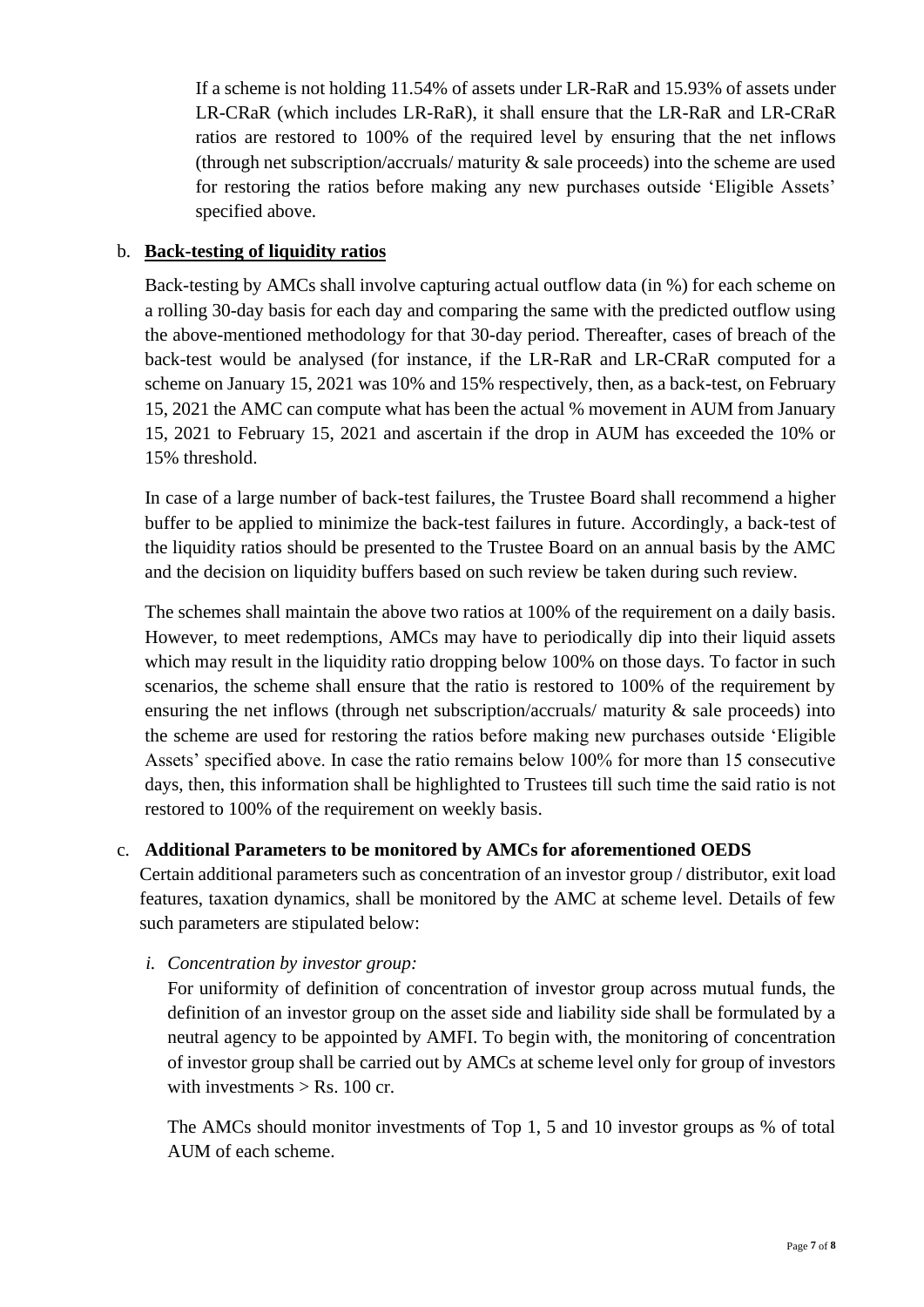If a scheme is not holding 11.54% of assets under LR-RaR and 15.93% of assets under LR-CRaR (which includes LR-RaR), it shall ensure that the LR-RaR and LR-CRaR ratios are restored to 100% of the required level by ensuring that the net inflows (through net subscription/accruals/ maturity & sale proceeds) into the scheme are used for restoring the ratios before making any new purchases outside 'Eligible Assets' specified above.

## b. **Back-testing of liquidity ratios**

Back-testing by AMCs shall involve capturing actual outflow data (in %) for each scheme on a rolling 30-day basis for each day and comparing the same with the predicted outflow using the above-mentioned methodology for that 30-day period. Thereafter, cases of breach of the back-test would be analysed (for instance, if the LR-RaR and LR-CRaR computed for a scheme on January 15, 2021 was 10% and 15% respectively, then, as a back-test, on February 15, 2021 the AMC can compute what has been the actual % movement in AUM from January 15, 2021 to February 15, 2021 and ascertain if the drop in AUM has exceeded the 10% or 15% threshold.

In case of a large number of back-test failures, the Trustee Board shall recommend a higher buffer to be applied to minimize the back-test failures in future. Accordingly, a back-test of the liquidity ratios should be presented to the Trustee Board on an annual basis by the AMC and the decision on liquidity buffers based on such review be taken during such review.

The schemes shall maintain the above two ratios at 100% of the requirement on a daily basis. However, to meet redemptions, AMCs may have to periodically dip into their liquid assets which may result in the liquidity ratio dropping below 100% on those days. To factor in such scenarios, the scheme shall ensure that the ratio is restored to 100% of the requirement by ensuring the net inflows (through net subscription/accruals/ maturity & sale proceeds) into the scheme are used for restoring the ratios before making new purchases outside 'Eligible Assets' specified above. In case the ratio remains below 100% for more than 15 consecutive days, then, this information shall be highlighted to Trustees till such time the said ratio is not restored to 100% of the requirement on weekly basis.

### c. **Additional Parameters to be monitored by AMCs for aforementioned OEDS**

Certain additional parameters such as concentration of an investor group / distributor, exit load features, taxation dynamics, shall be monitored by the AMC at scheme level. Details of few such parameters are stipulated below:

*i. Concentration by investor group:*

For uniformity of definition of concentration of investor group across mutual funds, the definition of an investor group on the asset side and liability side shall be formulated by a neutral agency to be appointed by AMFI. To begin with, the monitoring of concentration of investor group shall be carried out by AMCs at scheme level only for group of investors with investments  $>$  Rs. 100 cr.

The AMCs should monitor investments of Top 1, 5 and 10 investor groups as % of total AUM of each scheme.